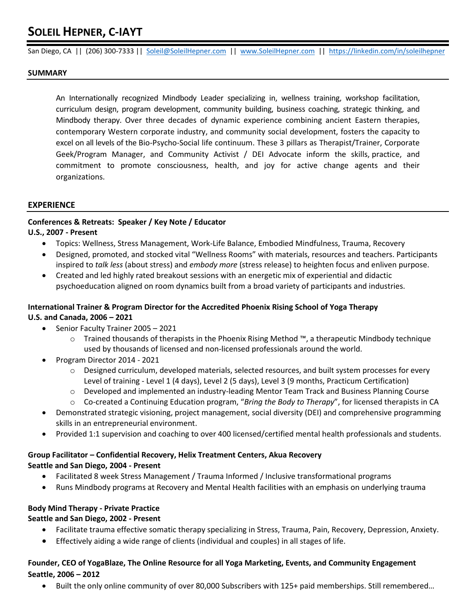# **SOLEIL HEPNER, C-IAYT**

San Diego, CA || (206) 300-7333 || [Soleil@SoleilHepner.com](mailto:Soleil@SoleilHepner.com) || [www.SoleilHepner.com](http://www.soleilhepner.com/) || [https://linkedin.com/in/soleilhepner](https://linkedin.com/in/soleilhepner/)

#### **SUMMARY**

An Internationally recognized Mindbody Leader specializing in, wellness training, workshop facilitation, curriculum design, program development, community building, business coaching, strategic thinking, and Mindbody therapy. Over three decades of dynamic experience combining ancient Eastern therapies, contemporary Western corporate industry, and community social development, fosters the capacity to excel on all levels of the Bio-Psycho-Social life continuum. These 3 pillars as Therapist/Trainer, Corporate Geek/Program Manager, and Community Activist / DEI Advocate inform the skills, practice, and commitment to promote consciousness, health, and joy for active change agents and their organizations.

## **EXPERIENCE**

## **Conferences & Retreats: Speaker / Key Note / Educator**

## **U.S., 2007 - Present**

- Topics: Wellness, Stress Management, Work-Life Balance, Embodied Mindfulness, Trauma, Recovery
- Designed, promoted, and stocked vital "Wellness Rooms" with materials, resources and teachers. Participants inspired to *talk less* (about stress) and *embody more* (stress release) to heighten focus and enliven purpose.
- Created and led highly rated breakout sessions with an energetic mix of experiential and didactic psychoeducation aligned on room dynamics built from a broad variety of participants and industries.

## **International Trainer & Program Director for the Accredited Phoenix Rising School of Yoga Therapy U.S. and Canada, 2006 – 2021**

- Senior Faculty Trainer 2005 2021
	- o Trained thousands of therapists in the Phoenix Rising Method ™, a therapeutic Mindbody technique used by thousands of licensed and non-licensed professionals around the world.
- Program Director 2014 2021
	- $\circ$  Designed curriculum, developed materials, selected resources, and built system processes for every Level of training - Level 1 (4 days), Level 2 (5 days), Level 3 (9 months, Practicum Certification)
	- o Developed and implemented an industry-leading Mentor Team Track and Business Planning Course
	- o Co-created a Continuing Education program, "*Bring the Body to Therapy*", for licensed therapists in CA
- Demonstrated strategic visioning, project management, social diversity (DEI) and comprehensive programming skills in an entrepreneurial environment.
- Provided 1:1 supervision and coaching to over 400 licensed/certified mental health professionals and students.

# **Group Facilitator – Confidential Recovery, Helix Treatment Centers, Akua Recovery Seattle and San Diego, 2004 - Present**

- Facilitated 8 week Stress Management / Trauma Informed / Inclusive transformational programs
- Runs Mindbody programs at Recovery and Mental Health facilities with an emphasis on underlying trauma

## **Body Mind Therapy - Private Practice**

#### **Seattle and San Diego, 2002 - Present**

- Facilitate trauma effective somatic therapy specializing in Stress, Trauma, Pain, Recovery, Depression, Anxiety.
- Effectively aiding a wide range of clients (individual and couples) in all stages of life.

## **Founder, CEO of YogaBlaze, The Online Resource for all Yoga Marketing, Events, and Community Engagement Seattle, 2006 – 2012**

• Built the only online community of over 80,000 Subscribers with 125+ paid memberships. Still remembered…